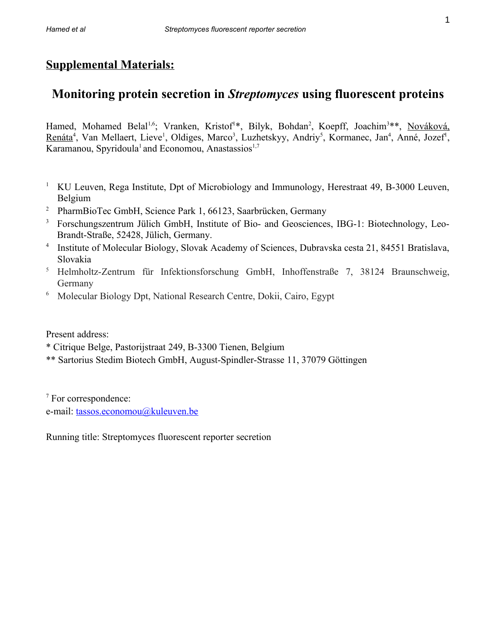## **Supplemental Materials:**

# **Monitoring protein secretion in** *Streptomyces* **using fluorescent proteins**

Hamed, Mohamed Belal<sup>1,6</sup>; Vranken, Kristof<sup>1\*</sup>, Bilyk, Bohdan<sup>2</sup>, Koepff, Joachim<sup>3\*\*</sup>, [Nováková,](https://www.sav.sk/index.php?lang=en&doc=user-org-user&user_no=1322) [Renáta](https://www.sav.sk/index.php?lang=en&doc=user-org-user&user_no=1322)<sup>4</sup>, Van Mellaert, Lieve<sup>1</sup>, Oldiges, Marco<sup>3</sup>, Luzhetskyy, Andriy<sup>5</sup>, Kormanec, Jan<sup>4</sup>, Anné, Jozef<sup>1</sup>, Karamanou, Spyridoula<sup>1</sup> and Economou, Anastassios<sup>1,7</sup>

- <sup>1</sup> KU Leuven, Rega Institute, Dpt of Microbiology and Immunology, Herestraat 49, B-3000 Leuven, Belgium
- <sup>2</sup> PharmBioTec GmbH, Science Park 1, 66123, Saarbrücken, Germany
- <sup>3</sup> Forschungszentrum Jülich GmbH, Institute of Bio- and Geosciences, IBG-1: Biotechnology, Leo-Brandt-Straße, 52428, Jülich, Germany.
- 4 Institute of Molecular Biology, Slovak Academy of Sciences, Dubravska cesta 21, 84551 Bratislava, Slovakia
- <sup>5</sup> Helmholtz-Zentrum für Infektionsforschung GmbH, Inhoffenstraße 7, 38124 Braunschweig, Germany
- <sup>6</sup> Molecular Biology Dpt, National Research Centre, Dokii, Cairo, Egypt

Present address:

\* Citrique Belge, Pastorijstraat 249, B-3300 Tienen, Belgium

\*\* Sartorius Stedim Biotech GmbH, August-Spindler-Strasse 11, 37079 Göttingen

<sup>7</sup> For correspondence: e-mail: [tassos.economou@kuleuven.be](mailto:tassos.economou@kuleuven.be)

Running title: Streptomyces fluorescent reporter secretion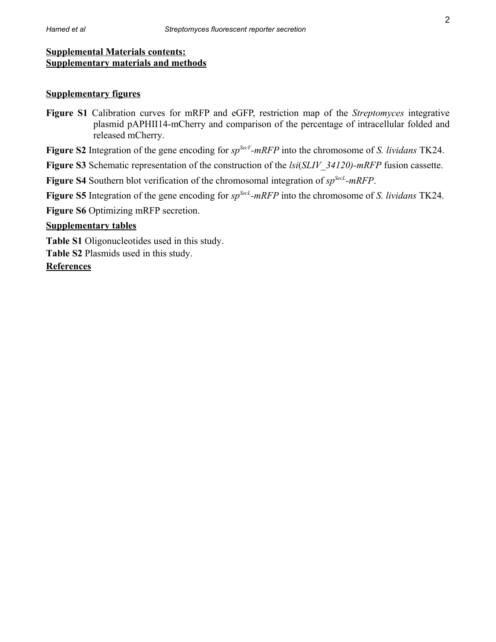### **Supplementary figures**

**Figure S1** Calibration curves for mRFP and eGFP, restriction map of the *Streptomyces* integrative plasmid pAPHII14-mCherry and comparison of the percentage of intracellular folded and released mCherry.

**Figure S2** Integration of the gene encoding for *spSecV-mRFP* into the chromosome of *S. lividans* TK24.

**Figure S3** Schematic representation of the construction of the *lsi*(*SLIV\_34120)-mRFP* fusion cassette.

**Figure S4** Southern blot verification of the chromosomal integration of *spSecL-mRFP*.

**Figure S5** Integration of the gene encoding for *spSecL-mRFP* into the chromosome of *S. lividans* TK24.

**Figure S6** Optimizing mRFP secretion.

### **Supplementary tables**

**Table S1** Oligonucleotides used in this study.

**Table S2** Plasmids used in this study.

**References**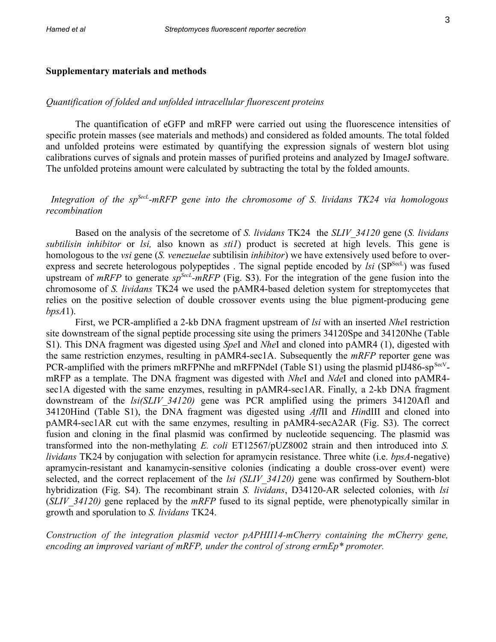#### **Supplementary materials and methods**

#### *Quantification of folded and unfolded intracellular fluorescent proteins*

The quantification of eGFP and mRFP were carried out using the fluorescence intensities of specific protein masses (see materials and methods) and considered as folded amounts. The total folded and unfolded proteins were estimated by quantifying the expression signals of western blot using calibrations curves of signals and protein masses of purified proteins and analyzed by ImageJ software. The unfolded proteins amount were calculated by subtracting the total by the folded amounts.

### *Integration of the spSecL-mRFP gene into the chromosome of S. lividans TK24 via homologous recombination*

Based on the analysis of the secretome of *S. lividans* TK24 the *SLIV\_34120* gene (*S. lividans subtilisin inhibitor* or *lsi,* also known as *sti1*) product is secreted at high levels. This gene is homologous to the *vsi* gene (*S. venezuelae* subtilisin *inhibitor*) we have extensively used before to overexpress and secrete heterologous polypeptides. The signal peptide encoded by *lsi* (SP<sup>SecL</sup>) was fused upstream of *mRFP* to generate *sp*<sup>*SecL</sup>*-*mRFP* (Fig. S3). For the integration of the gene fusion into the</sup> chromosome of *S. lividans* TK24 we used the pAMR4-based deletion system for streptomycetes that relies on the positive selection of double crossover events using the blue pigment-producing gene *bpsA*1).

First, we PCR-amplified a 2-kb DNA fragment upstream of *lsi* with an inserted *Nhe*I restriction site downstream of the signal peptide processing site using the primers 34120Spe and 34120Nhe (Table S1). This DNA fragment was digested using *Spe*I and *Nhe*I and cloned into pAMR4 (1), digested with the same restriction enzymes, resulting in pAMR4-sec1A. Subsequently the *mRFP* reporter gene was PCR-amplified with the primers mRFPNhe and mRFPNdeI (Table S1) using the plasmid pIJ486-sp<sup>SecV</sup>mRFP as a template. The DNA fragment was digested with *Nhe*I and *Nde*I and cloned into pAMR4 sec1A digested with the same enzymes, resulting in pAMR4-sec1AR. Finally, a 2-kb DNA fragment downstream of the *lsi(SLIV\_34120)* gene was PCR amplified using the primers 34120Afl and 34120Hind (Table S1), the DNA fragment was digested using *Afl*II and *Hin*dIII and cloned into pAMR4-sec1AR cut with the same enzymes, resulting in pAMR4-secA2AR (Fig. S3). The correct fusion and cloning in the final plasmid was confirmed by nucleotide sequencing. The plasmid was transformed into the non-methylating *E. coli* ET12567/pUZ8002 strain and then introduced into *S. lividans* TK24 by conjugation with selection for apramycin resistance. Three white (i.e. *bpsA*-negative) apramycin-resistant and kanamycin-sensitive colonies (indicating a double cross-over event) were selected, and the correct replacement of the *lsi (SLIV\_34120)* gene was confirmed by Southern-blot hybridization (Fig. S4). The recombinant strain *S. lividans*, D34120-AR selected colonies, with *lsi* (*SLIV\_34120)* gene replaced by the *mRFP* fused to its signal peptide, were phenotypically similar in growth and sporulation to *S. lividans* TK24.

*Construction of the integration plasmid vector pAPHII14-mCherry containing the mCherry gene, encoding an improved variant of mRFP, under the control of strong ermEp\* promoter.*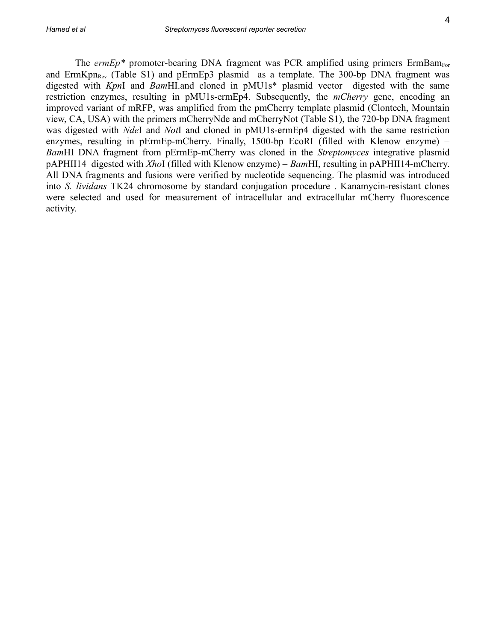The  $ermEp*$  promoter-bearing DNA fragment was PCR amplified using primers  $ErmBam<sub>For</sub>$ and ErmKpn<sub>Rev</sub> (Table S1) and pErmEp3 plasmid as a template. The 300-bp DNA fragment was digested with *Kpn*I and *Bam*HI.and cloned in pMU1s\* plasmid vector digested with the same restriction enzymes, resulting in pMU1s-ermEp4. Subsequently, the *mCherry* gene, encoding an improved variant of mRFP, was amplified from the pmCherry template plasmid (Clontech, Mountain view, CA, USA) with the primers mCherryNde and mCherryNot (Table S1), the 720-bp DNA fragment was digested with *Nde*I and *Not*I and cloned in pMU1s-ermEp4 digested with the same restriction enzymes, resulting in pErmEp-mCherry. Finally, 1500-bp EcoRI (filled with Klenow enzyme) – *Bam*HI DNA fragment from pErmEp-mCherry was cloned in the *Streptomyces* integrative plasmid pAPHII14 digested with *Xho*I (filled with Klenow enzyme) – *Bam*HI, resulting in pAPHII14-mCherry. All DNA fragments and fusions were verified by nucleotide sequencing. The plasmid was introduced into *S. lividans* TK24 chromosome by standard conjugation procedure . Kanamycin-resistant clones were selected and used for measurement of intracellular and extracellular mCherry fluorescence activity.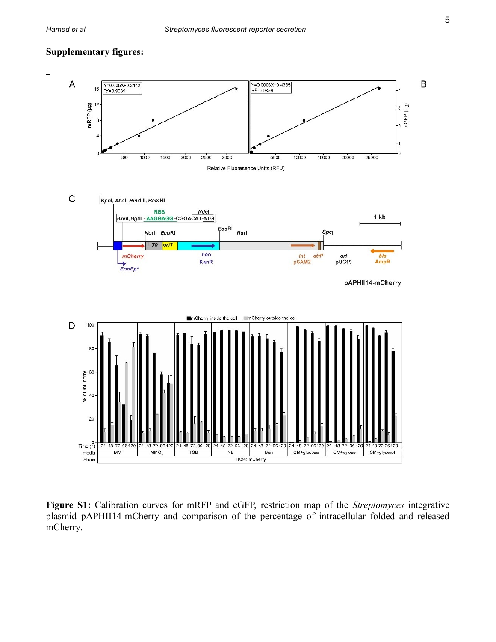### **Supplementary figures:**



**Figure S1:** Calibration curves for mRFP and eGFP, restriction map of the *Streptomyces* integrative plasmid pAPHII14-mCherry and comparison of the percentage of intracellular folded and released mCherry.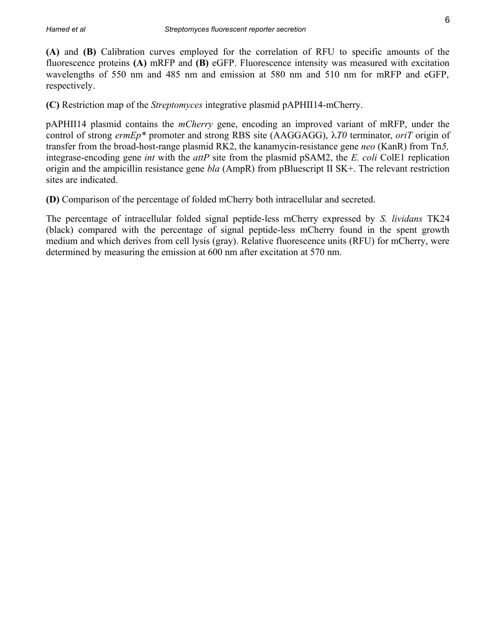**(A)** and **(B)** Calibration curves employed for the correlation of RFU to specific amounts of the fluorescence proteins **(A)** mRFP and **(B)** eGFP. Fluorescence intensity was measured with excitation wavelengths of 550 nm and 485 nm and emission at 580 nm and 510 nm for mRFP and eGFP, respectively.

**(C)** Restriction map of the *Streptomyces* integrative plasmid pAPHII14-mCherry.

pAPHII14 plasmid contains the *mCherry* gene, encoding an improved variant of mRFP, under the control of strong *ermEp\** promoter and strong RBS site (AAGGAGG), *T0* terminator, *oriT* origin of transfer from the broad-host-range plasmid RK2, the kanamycin-resistance gene *neo* (KanR) from Tn*5,* integrase-encoding gene *int* with the *attP* site from the plasmid pSAM2, the *E. coli* ColE1 replication origin and the ampicillin resistance gene *bla* (AmpR) from pBluescript II SK+. The relevant restriction sites are indicated.

**(D)** Comparison of the percentage of folded mCherry both intracellular and secreted.

The percentage of intracellular folded signal peptide-less mCherry expressed by *S. lividans* TK24 (black) compared with the percentage of signal peptide-less mCherry found in the spent growth medium and which derives from cell lysis (gray). Relative fluorescence units (RFU) for mCherry, were determined by measuring the emission at 600 nm after excitation at 570 nm.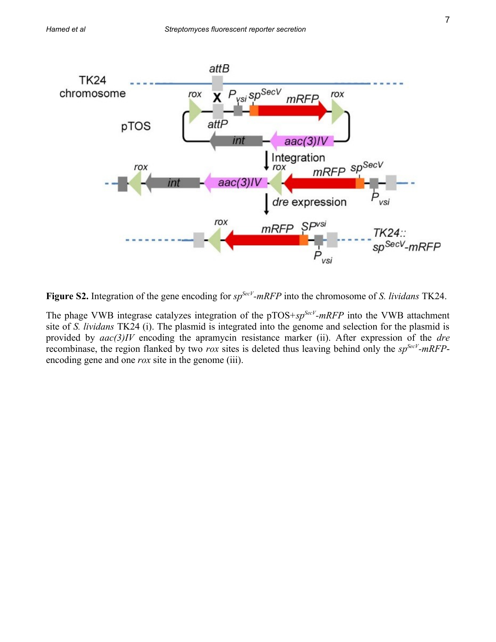

**Figure S2.** Integration of the gene encoding for *spSecV-mRFP* into the chromosome of *S. lividans* TK24.

The phage VWB integrase catalyzes integration of the pTOS+*spSecV-mRFP* into the VWB attachment site of *S. lividans* TK24 (i). The plasmid is integrated into the genome and selection for the plasmid is provided by *aac(3)IV* encoding the apramycin resistance marker (ii). After expression of the *dre* recombinase, the region flanked by two *rox* sites is deleted thus leaving behind only the *spSecV-mRFP*encoding gene and one *rox* site in the genome (iii).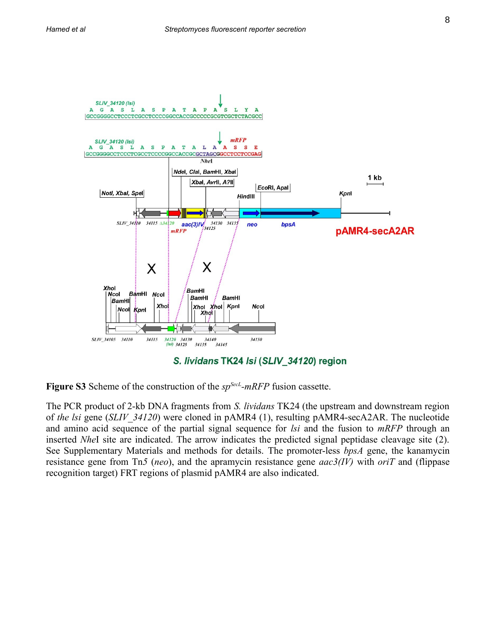

**Figure S3** Scheme of the construction of the *spSecL-mRFP* fusion cassette.

The PCR product of 2-kb DNA fragments from *S. lividans* TK24 (the upstream and downstream region of *the lsi* gene (*SLIV\_34120*) were cloned in pAMR4 (1), resulting pAMR4-secA2AR. The nucleotide and amino acid sequence of the partial signal sequence for *lsi* and the fusion to *mRFP* through an inserted *Nhe*I site are indicated. The arrow indicates the predicted signal peptidase cleavage site (2). See Supplementary Materials and methods for details. The promoter-less *bpsA* gene, the kanamycin resistance gene from Tn*5* (*neo*), and the apramycin resistance gene *aac3(IV)* with *oriT* and (flippase recognition target) FRT regions of plasmid pAMR4 are also indicated.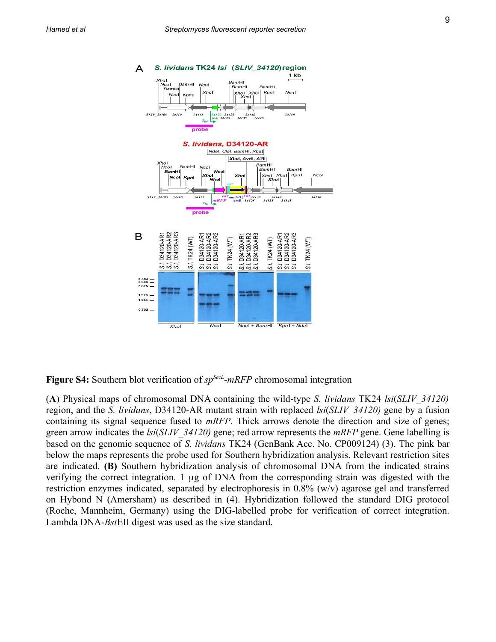

**Figure S4:** Southern blot verification of *spSecL-mRFP* chromosomal integration

(**A**) Physical maps of chromosomal DNA containing the wild-type *S. lividans* TK24 *lsi*(*SLIV\_34120)* region, and the *S. lividans*, D34120-AR mutant strain with replaced *lsi*(*SLIV\_34120)* gene by a fusion containing its signal sequence fused to *mRFP.* Thick arrows denote the direction and size of genes; green arrow indicates the *lsi*(*SLIV\_34120)* gene; red arrow represents the *mRFP* gene. Gene labelling is based on the genomic sequence of *S. lividans* TK24 (GenBank Acc. No. CP009124) (3). The pink bar below the maps represents the probe used for Southern hybridization analysis. Relevant restriction sites are indicated. **(B)** Southern hybridization analysis of chromosomal DNA from the indicated strains verifying the correct integration. 1 µg of DNA from the corresponding strain was digested with the restriction enzymes indicated, separated by electrophoresis in 0.8% (w/v) agarose gel and transferred on Hybond N (Amersham) as described in (4). Hybridization followed the standard DIG protocol (Roche, Mannheim, Germany) using the DIG-labelled probe for verification of correct integration. Lambda DNA-*Bst*EII digest was used as the size standard.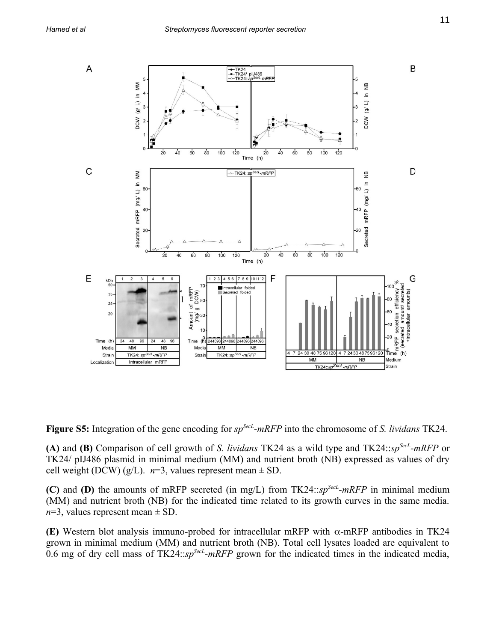

**Figure S5:** Integration of the gene encoding for *spSecL-mRFP* into the chromosome of *S. lividans* TK24.

**(A)** and **(B)** Comparison of cell growth of *S. lividans* TK24 as a wild type and TK24::*spSecL-mRFP* or TK24/ pIJ486 plasmid in minimal medium (MM) and nutrient broth (NB) expressed as values of dry cell weight (DCW) (g/L).  $n=3$ , values represent mean  $\pm$  SD.

**(C)** and **(D)** the amounts of mRFP secreted (in mg/L) from TK24::*spSecL-mRFP* in minimal medium (MM) and nutrient broth (NB) for the indicated time related to its growth curves in the same media.  $n=3$ , values represent mean  $\pm$  SD.

**(E)** Western blot analysis immuno-probed for intracellular mRFP with  $\alpha$ -mRFP antibodies in TK24 grown in minimal medium (MM) and nutrient broth (NB). Total cell lysates loaded are equivalent to 0.6 mg of dry cell mass of TK24::*spSecL-mRFP* grown for the indicated times in the indicated media,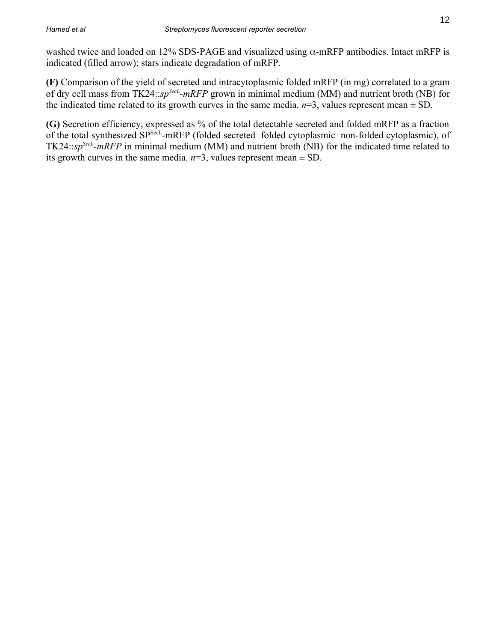washed twice and loaded on 12% SDS-PAGE and visualized using  $\alpha$ -mRFP antibodies. Intact mRFP is indicated (filled arrow); stars indicate degradation of mRFP.

**(F)** Comparison of the yield of secreted and intracytoplasmic folded mRFP (in mg) correlated to a gram of dry cell mass from TK24::*spSecL-mRFP* grown in minimal medium (MM) and nutrient broth (NB) for the indicated time related to its growth curves in the same media.  $n=3$ , values represent mean  $\pm$  SD.

**(G)** Secretion efficiency, expressed as % of the total detectable secreted and folded mRFP as a fraction of the total synthesized SPSecL-mRFP (folded secreted+folded cytoplasmic+non-folded cytoplasmic), of TK24::*spSecL-mRFP* in minimal medium (MM) and nutrient broth (NB) for the indicated time related to its growth curves in the same media.  $n=3$ , values represent mean  $\pm$  SD.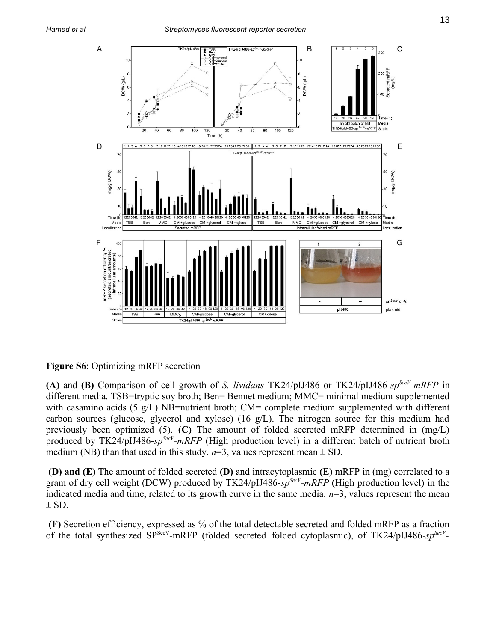

**Figure S6**: Optimizing mRFP secretion

**(A)** and **(B)** Comparison of cell growth of *S. lividans* TK24/pIJ486 or TK24/pIJ486-*spSecV-mRFP* in different media. TSB=tryptic soy broth; Ben= Bennet medium; MMC= minimal medium supplemented with casamino acids (5  $g/L$ ) NB=nutrient broth; CM= complete medium supplemented with different carbon sources (glucose, glycerol and xylose) (16 g/L). The nitrogen source for this medium had previously been optimized (5). **(C)** The amount of folded secreted mRFP determined in (mg/L) produced by TK24/pIJ486-*spSecV-mRFP* (High production level) in a different batch of nutrient broth medium (NB) than that used in this study.  $n=3$ , values represent mean  $\pm$  SD.

**(D) and (E)** The amount of folded secreted **(D)** and intracytoplasmic **(E)** mRFP in (mg) correlated to a gram of dry cell weight (DCW) produced by TK24/pIJ486-*spSecV-mRFP* (High production level) in the indicated media and time, related to its growth curve in the same media. *n*=3, values represent the mean  $\pm$  SD.

**(F)** Secretion efficiency, expressed as % of the total detectable secreted and folded mRFP as a fraction of the total synthesized SP<sup>SecV</sup>-mRFP (folded secreted+folded cytoplasmic), of TK24/pIJ486-sp<sup>SecV</sup>-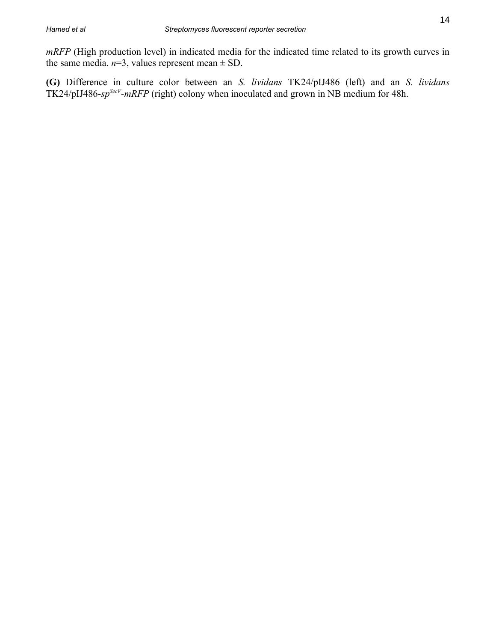*mRFP* (High production level) in indicated media for the indicated time related to its growth curves in the same media.  $n=3$ , values represent mean  $\pm$  SD.

**(G)** Difference in culture color between an *S. lividans* TK24/pIJ486 (left) and an *S. lividans* TK24/pIJ486-*spSecV-mRFP* (right) colony when inoculated and grown in NB medium for 48h.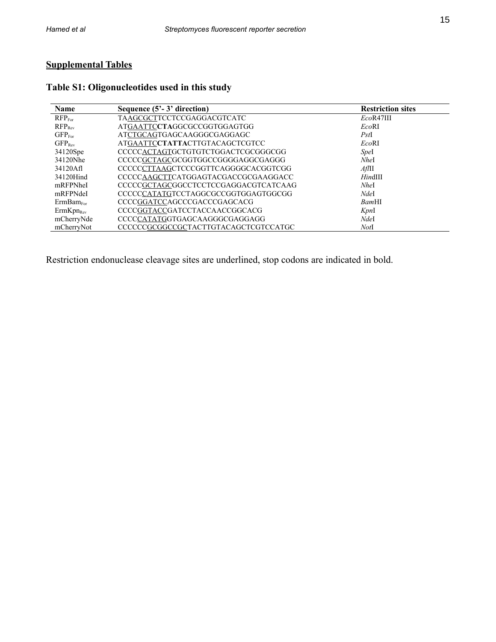# **Supplemental Tables**

| <b>Name</b>           | Sequence $(5^2 - 3^2)$ direction     | <b>Restriction sites</b> |
|-----------------------|--------------------------------------|--------------------------|
| RFP <sub>For</sub>    | <b>TAAGCGCTTCCTCCGAGGACGTCATC</b>    | EcoR47III                |
| RFP <sub>Rev</sub>    | ATGAATTCCTAGGCGCCGGTGGAGTGG          | EcoRI                    |
| GFP <sub>For</sub>    | ATCTGCAGTGAGCAAGGGCGAGGAGC           | PstI                     |
| $GFP_{Rev}$           | ATGAATTCCTATTACTTGTACAGCTCGTCC       | EcoRI                    |
| 34120Spe              | CCCCCACTAGTGCTGTGTCTGGACTCGCGGGCGG   | Spel                     |
| 34120Nhe              | CCCCCGCTAGCGCGGTGGCCGGGGAGGCGAGGG    | NheI                     |
| 34120Afl              | CCCCCCTTAAGCTCCCGGTTCAGGGGCACGGTCGG  | $Afl$ II                 |
| 34120Hind             | CCCCCAAGCTTCATGGAGTACGACCGCGAAGGACC  | HindIII                  |
| mRFPNheI              | CCCCCGCTAGCGGCCTCCTCCGAGGACGTCATCAAG | NheI                     |
| mRFPNdeI              | CCCCCCATATGTCCTAGGCGCCGGTGGAGTGGCGG  | NdeI                     |
| $ErmBam_{\rm For}$    | CCCCGGATCCAGCCCGACCCGAGCACG          | BamHI                    |
| ErmKpn <sub>Rev</sub> | CCCCGGTACCGATCCTACCAACCGGCACG        | KpnI                     |
| mCherryNde            | CCCCCATATGGTGAGCAAGGGCGAGGAGG        | NdeI                     |
| mCherryNot            | CCCCCCGCGGCCGCTACTTGTACAGCTCGTCCATGC | NotI                     |

### **Table S1: Oligonucleotides used in this study**

Restriction endonuclease cleavage sites are underlined, stop codons are indicated in bold.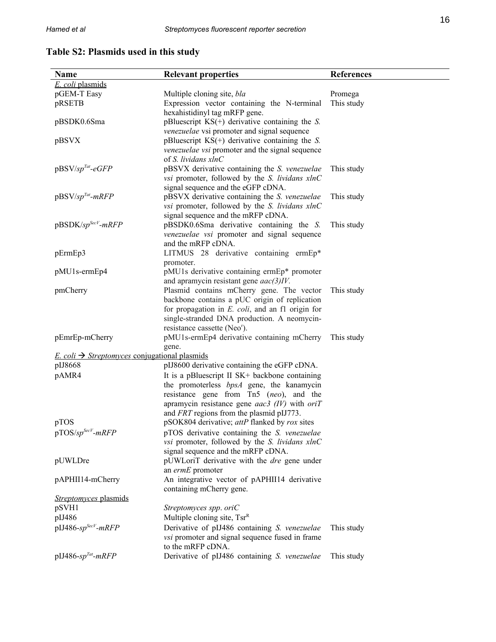## **Table S2: Plasmids used in this study**

| Name                                                                    | <b>Relevant properties</b>                                    | References |
|-------------------------------------------------------------------------|---------------------------------------------------------------|------------|
| E. coli plasmids                                                        |                                                               |            |
| pGEM-T Easy                                                             | Multiple cloning site, bla                                    | Promega    |
| pRSETB                                                                  | Expression vector containing the N-terminal                   | This study |
|                                                                         | hexahistidinyl tag mRFP gene.                                 |            |
| pBSDK0.6Sma                                                             | pBluescript $KS(+)$ derivative containing the S.              |            |
|                                                                         | venezuelae vsi promoter and signal sequence                   |            |
| pBSVX                                                                   | pBluescript $KS(+)$ derivative containing the S.              |            |
|                                                                         | venezuelae vsi promoter and the signal sequence               |            |
|                                                                         | of S. lividans xlnC                                           |            |
| $pBSV$ /sp <sup>Tat</sup> -eGFP                                         | pBSVX derivative containing the S. venezuelae                 |            |
|                                                                         |                                                               | This study |
|                                                                         | vsi promoter, followed by the S. lividans xlnC                |            |
|                                                                         | signal sequence and the eGFP cDNA.                            |            |
| $pBSV$ /sp <sup>Tat</sup> -mRFP                                         | pBSVX derivative containing the S. venezuelae                 | This study |
|                                                                         | vsi promoter, followed by the S. lividans xlnC                |            |
|                                                                         | signal sequence and the mRFP cDNA.                            |            |
| pBSDK/sp <sup>SecV</sup> -mRFP                                          | pBSDK0.6Sma derivative containing the S.                      | This study |
|                                                                         | venezuelae vsi promoter and signal sequence                   |            |
|                                                                         | and the mRFP cDNA.                                            |            |
| pErmEp3                                                                 | LITMUS 28 derivative containing ermEp*                        |            |
|                                                                         | promoter.                                                     |            |
| pMU1s-ermEp4                                                            | pMU1s derivative containing ermEp* promoter                   |            |
|                                                                         | and apramycin resistant gene $aac(3)IV$ .                     |            |
| pmCherry                                                                | Plasmid contains mCherry gene. The vector                     | This study |
|                                                                         | backbone contains a pUC origin of replication                 |            |
|                                                                         | for propagation in $E$ . $\text{coli}$ , and an f1 origin for |            |
|                                                                         | single-stranded DNA production. A neomycin-                   |            |
|                                                                         | resistance cassette (Neo <sup>r</sup> ).                      |            |
| pEmrEp-mCherry                                                          | pMU1s-ermEp4 derivative containing mCherry                    | This study |
|                                                                         | gene.                                                         |            |
| <i>E. coli</i> $\rightarrow$ <i>Streptomyces</i> conjugational plasmids |                                                               |            |
| pIJ8668                                                                 | pIJ8600 derivative containing the eGFP cDNA.                  |            |
| pAMR4                                                                   | It is a pBluescript II SK+ backbone containing                |            |
|                                                                         | the promoterless bpsA gene, the kanamycin                     |            |
|                                                                         | resistance gene from Tn5 (neo), and the                       |            |
|                                                                         | apramycin resistance gene $aac3$ (IV) with $oriT$             |            |
|                                                                         | and FRT regions from the plasmid pIJ773.                      |            |
| pTOS                                                                    | pSOK804 derivative; attP flanked by rox sites                 |            |
| $pTOS/sp^{SecV}-mRFP$                                                   | pTOS derivative containing the S. venezuelae                  |            |
|                                                                         | vsi promoter, followed by the S. lividans xlnC                |            |
|                                                                         | signal sequence and the mRFP cDNA.                            |            |
| pUWLDre                                                                 | pUWLoriT derivative with the <i>dre</i> gene under            |            |
|                                                                         | an ermE promoter                                              |            |
| pAPHII14-mCherry                                                        | An integrative vector of pAPHII14 derivative                  |            |
|                                                                         | containing mCherry gene.                                      |            |
| Streptomyces plasmids                                                   |                                                               |            |
| pSVH1                                                                   | Streptomyces spp. oriC                                        |            |
|                                                                         |                                                               |            |
| pIJ486                                                                  | Multiple cloning site, $Tsr^R$                                |            |
| $pIJ486$ -sp <sup>SecV</sup> -mRFP                                      | Derivative of pIJ486 containing S. venezuelae                 | This study |
|                                                                         | <i>vsi</i> promoter and signal sequence fused in frame        |            |
|                                                                         | to the mRFP cDNA.                                             |            |
| $pIJ486$ -sp <sup>Tat</sup> -mRFP                                       | Derivative of pIJ486 containing S. venezuelae                 | This study |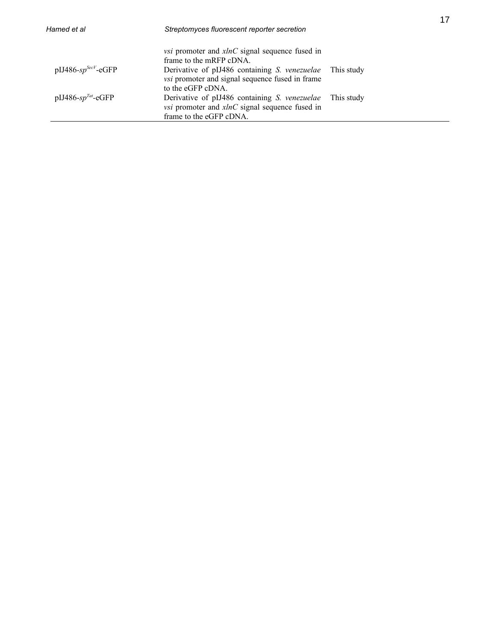| Hamed et al                        | Streptomyces fluorescent reporter secretion                                                                                                    |            |  |
|------------------------------------|------------------------------------------------------------------------------------------------------------------------------------------------|------------|--|
|                                    | <i>vsi</i> promoter and <i>xlnC</i> signal sequence fused in<br>frame to the mRFP cDNA.                                                        |            |  |
| $pIJ486$ -sp <sup>SecV</sup> -eGFP | Derivative of pIJ486 containing <i>S. venezuelae</i> This study<br><i>vsi</i> promoter and signal sequence fused in frame<br>to the eGFP cDNA. |            |  |
| pIJ486-s $p^{Tat}$ -eGFP           | Derivative of pIJ486 containing S. venezuelae<br><i>vsi</i> promoter and $xlnC$ signal sequence fused in<br>frame to the eGFP cDNA.            | This study |  |